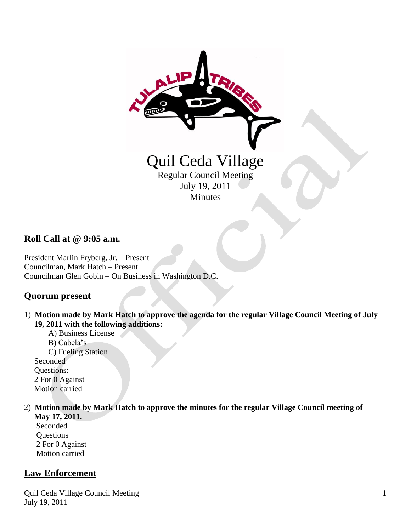

### **Roll Call at @ 9:05 a.m.**

President Marlin Fryberg, Jr. – Present Councilman, Mark Hatch – Present Councilman Glen Gobin – On Business in Washington D.C.

### **Quorum present**

- 1) **Motion made by Mark Hatch to approve the agenda for the regular Village Council Meeting of July 19, 2011 with the following additions:**
	- A) Business License B) Cabela's C) Fueling Station Seconded Questions: 2 For 0 Against Motion carried

# 2) **Motion made by Mark Hatch to approve the minutes for the regular Village Council meeting of**

 **May 17, 2011.** Seconded **Questions**  2 For 0 Against Motion carried

### **Law Enforcement**

Quil Ceda Village Council Meeting July 19, 2011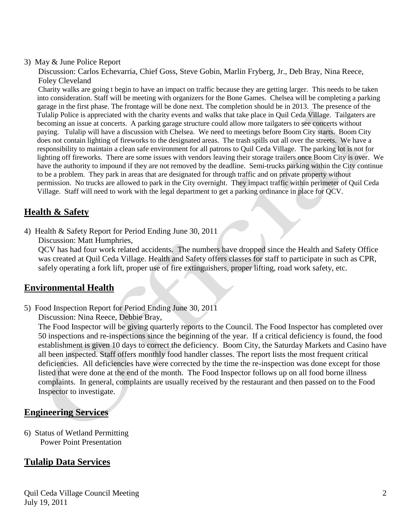#### 3) May & June Police Report

 Discussion: Carlos Echevarria, Chief Goss, Steve Gobin, Marlin Fryberg, Jr., Deb Bray, Nina Reece, Foley Cleveland

 Charity walks are going t begin to have an impact on traffic because they are getting larger. This needs to be taken into consideration. Staff will be meeting with organizers for the Bone Games. Chelsea will be completing a parking garage in the first phase. The frontage will be done next. The completion should be in 2013. The presence of the Tulalip Police is appreciated with the charity events and walks that take place in Quil Ceda Village. Tailgaters are becoming an issue at concerts. A parking garage structure could allow more tailgaters to see concerts without paying. Tulalip will have a discussion with Chelsea. We need to meetings before Boom City starts. Boom City does not contain lighting of fireworks to the designated areas. The trash spills out all over the streets. We have a responsibility to maintain a clean safe environment for all patrons to Quil Ceda Village. The parking lot is not for lighting off fireworks. There are some issues with vendors leaving their storage trailers once Boom City is over. We have the authority to impound if they are not removed by the deadline. Semi-trucks parking within the City continue to be a problem. They park in areas that are designated for through traffic and on private property without permission. No trucks are allowed to park in the City overnight. They impact traffic within perimeter of Quil Ceda Village. Staff will need to work with the legal department to get a parking ordinance in place for QCV.

## **Health & Safety**

4) Health & Safety Report for Period Ending June 30, 2011 Discussion: Matt Humphries,

 QCV has had four work related accidents. The numbers have dropped since the Health and Safety Office was created at Quil Ceda Village. Health and Safety offers classes for staff to participate in such as CPR,

safely operating a fork lift, proper use of fire extinguishers, proper lifting, road work safety, etc.

### **Environmental Health**

5) Food Inspection Report for Period Ending June 30, 2011

Discussion: Nina Reece, Debbie Bray,

 The Food Inspector will be giving quarterly reports to the Council. The Food Inspector has completed over 50 inspections and re-inspections since the beginning of the year. If a critical deficiency is found, the food establishment is given 10 days to correct the deficiency. Boom City, the Saturday Markets and Casino have all been inspected. Staff offers monthly food handler classes. The report lists the most frequent critical deficiencies. All deficiencies have were corrected by the time the re-inspection was done except for those listed that were done at the end of the month. The Food Inspector follows up on all food borne illness complaints. In general, complaints are usually received by the restaurant and then passed on to the Food Inspector to investigate.

### **Engineering Services**

6) Status of Wetland Permitting Power Point Presentation

## **Tulalip Data Services**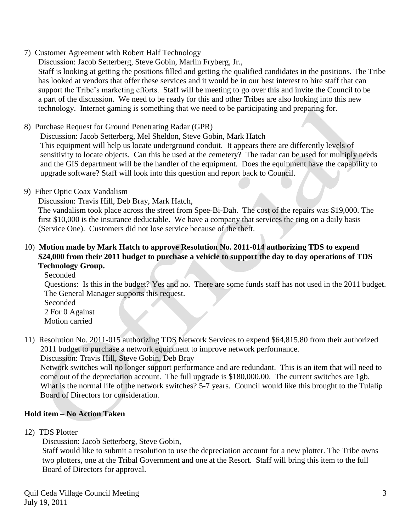7) Customer Agreement with Robert Half Technology

Discussion: Jacob Setterberg, Steve Gobin, Marlin Fryberg, Jr.,

 Staff is looking at getting the positions filled and getting the qualified candidates in the positions. The Tribe has looked at vendors that offer these services and it would be in our best interest to hire staff that can support the Tribe's marketing efforts. Staff will be meeting to go over this and invite the Council to be a part of the discussion. We need to be ready for this and other Tribes are also looking into this new technology. Internet gaming is something that we need to be participating and preparing for.

8) Purchase Request for Ground Penetrating Radar (GPR)

Discussion: Jacob Setterberg, Mel Sheldon, Steve Gobin, Mark Hatch

 This equipment will help us locate underground conduit. It appears there are differently levels of sensitivity to locate objects. Can this be used at the cemetery? The radar can be used for multiply needs and the GIS department will be the handler of the equipment. Does the equipment have the capability to upgrade software? Staff will look into this question and report back to Council.

9) Fiber Optic Coax Vandalism

Discussion: Travis Hill, Deb Bray, Mark Hatch,

 The vandalism took place across the street from Spee-Bi-Dah. The cost of the repairs was \$19,000. The first \$10,000 is the insurance deductable. We have a company that services the ring on a daily basis (Service One). Customers did not lose service because of the theft.

### 10) **Motion made by Mark Hatch to approve Resolution No. 2011-014 authorizing TDS to expend \$24,000 from their 2011 budget to purchase a vehicle to support the day to day operations of TDS Technology Group.**

Seconded

 Questions: Is this in the budget? Yes and no. There are some funds staff has not used in the 2011 budget. The General Manager supports this request.

 Seconded 2 For 0 Against Motion carried

11) Resolution No. 2011-015 authorizing TDS Network Services to expend \$64,815.80 from their authorized 2011 budget to purchase a network equipment to improve network performance.

Discussion: Travis Hill, Steve Gobin, Deb Bray

 Network switches will no longer support performance and are redundant. This is an item that will need to come out of the depreciation account. The full upgrade is \$180,000.00. The current switches are 1gb. What is the normal life of the network switches? 5-7 years. Council would like this brought to the Tulalip Board of Directors for consideration.

### **Hold item – No Action Taken**

12) TDS Plotter

Discussion: Jacob Setterberg, Steve Gobin,

 Staff would like to submit a resolution to use the depreciation account for a new plotter. The Tribe owns two plotters, one at the Tribal Government and one at the Resort. Staff will bring this item to the full Board of Directors for approval.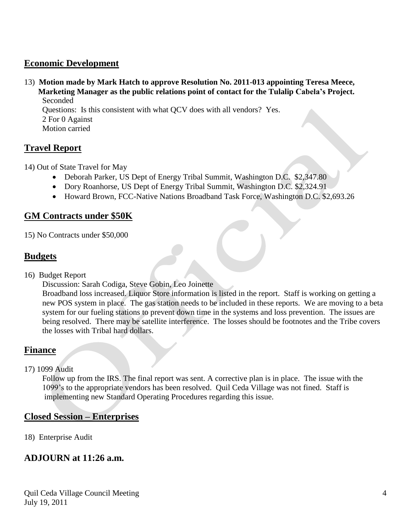### **Economic Development**

13) **Motion made by Mark Hatch to approve Resolution No. 2011-013 appointing Teresa Meece, Marketing Manager as the public relations point of contact for the Tulalip Cabela's Project.** Seconded

 Questions: Is this consistent with what QCV does with all vendors? Yes. 2 For 0 Against Motion carried

### **Travel Report**

- 14) Out of State Travel for May
	- Deborah Parker, US Dept of Energy Tribal Summit, Washington D.C. \$2,347.80
	- Dory Roanhorse, US Dept of Energy Tribal Summit, Washington D.C. \$2,324.91
	- Howard Brown, FCC-Native Nations Broadband Task Force, Washington D.C. \$2,693.26

### **GM Contracts under \$50K**

15) No Contracts under \$50,000

## **Budgets**

16) Budget Report

Discussion: Sarah Codiga, Steve Gobin, Leo Joinette

 Broadband loss increased. Liquor Store information is listed in the report. Staff is working on getting a new POS system in place. The gas station needs to be included in these reports. We are moving to a beta system for our fueling stations to prevent down time in the systems and loss prevention. The issues are being resolved. There may be satellite interference. The losses should be footnotes and the Tribe covers the losses with Tribal hard dollars.

## **Finance**

17) 1099 Audit

 Follow up from the IRS. The final report was sent. A corrective plan is in place. The issue with the 1099's to the appropriate vendors has been resolved. Quil Ceda Village was not fined. Staff is implementing new Standard Operating Procedures regarding this issue.

## **Closed Session – Enterprises**

18) Enterprise Audit

## **ADJOURN at 11:26 a.m.**